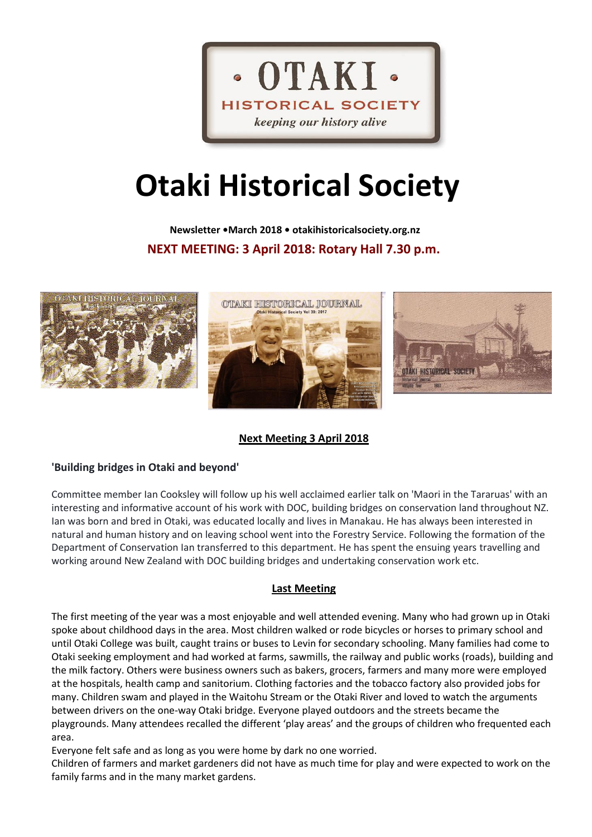

# **Otaki Historical Society**

 **Newsletter •March 2018 • otakihistoricalsociety.org.nz NEXT MEETING: 3 April 2018: Rotary Hall 7.30 p.m.**



# **Next Meeting 3 April 2018**

# **'Building bridges in Otaki and beyond'**

Committee member Ian Cooksley will follow up his well acclaimed earlier talk on 'Maori in the Tararuas' with an interesting and informative account of his work with DOC, building bridges on conservation land throughout NZ. Ian was born and bred in Otaki, was educated locally and lives in Manakau. He has always been interested in natural and human history and on leaving school went into the Forestry Service. Following the formation of the Department of Conservation Ian transferred to this department. He has spent the ensuing years travelling and working around New Zealand with DOC building bridges and undertaking conservation work etc.

# **Last Meeting**

The first meeting of the year was a most enjoyable and well attended evening. Many who had grown up in Otaki spoke about childhood days in the area. Most children walked or rode bicycles or horses to primary school and until Otaki College was built, caught trains or buses to Levin for secondary schooling. Many families had come to Otaki seeking employment and had worked at farms, sawmills, the railway and public works (roads), building and the milk factory. Others were business owners such as bakers, grocers, farmers and many more were employed at the hospitals, health camp and sanitorium. Clothing factories and the tobacco factory also provided jobs for many. Children swam and played in the Waitohu Stream or the Otaki River and loved to watch the arguments between drivers on the one-way Otaki bridge. Everyone played outdoors and the streets became the playgrounds. Many attendees recalled the different 'play areas' and the groups of children who frequented each area.

Everyone felt safe and as long as you were home by dark no one worried.

Children of farmers and market gardeners did not have as much time for play and were expected to work on the family farms and in the many market gardens.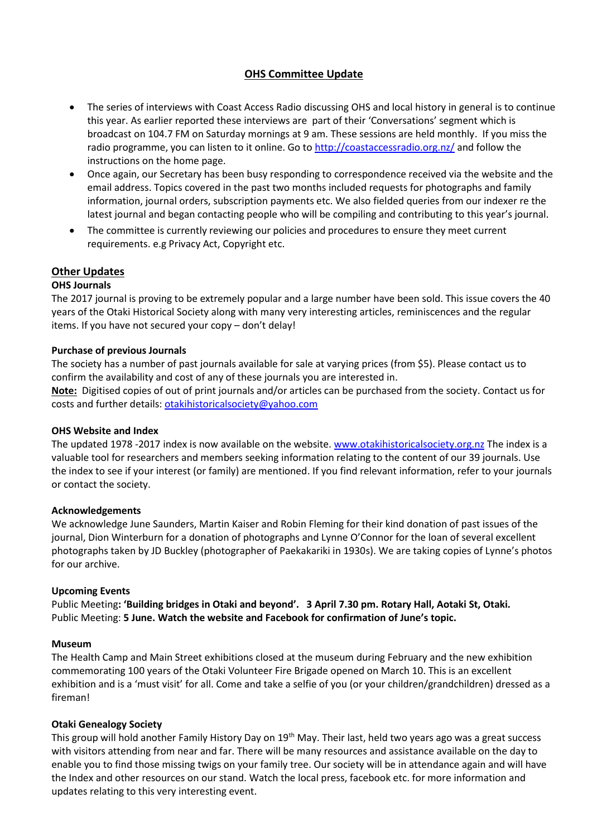# **OHS Committee Update**

- The series of interviews with Coast Access Radio discussing OHS and local history in general is to continue this year. As earlier reported these interviews are part of their 'Conversations' segment which is broadcast on 104.7 FM on Saturday mornings at 9 am. These sessions are held monthly. If you miss the radio programme, you can listen to it online. Go t[o http://coastaccessradio.org.nz/](http://coastaccessradio.org.nz/) and follow the instructions on the home page.
- Once again, our Secretary has been busy responding to correspondence received via the website and the email address. Topics covered in the past two months included requests for photographs and family information, journal orders, subscription payments etc. We also fielded queries from our indexer re the latest journal and began contacting people who will be compiling and contributing to this year's journal.
- The committee is currently reviewing our policies and procedures to ensure they meet current requirements. e.g Privacy Act, Copyright etc.

## **Other Updates**

## **OHS Journals**

The 2017 journal is proving to be extremely popular and a large number have been sold. This issue covers the 40 years of the Otaki Historical Society along with many very interesting articles, reminiscences and the regular items. If you have not secured your copy – don't delay!

## **Purchase of previous Journals**

The society has a number of past journals available for sale at varying prices (from \$5). Please contact us to confirm the availability and cost of any of these journals you are interested in.

**Note:** Digitised copies of out of print journals and/or articles can be purchased from the society. Contact us for costs and further details[: otakihistoricalsociety@yahoo.com](mailto:otakihistoricalsociety@yahoo.com)

## **OHS Website and Index**

The updated 1978 -2017 index is now available on the website. [www.otakihistoricalsociety.org.nz](http://www.otakihistoricalsociety.org.nz/) The index is a valuable tool for researchers and members seeking information relating to the content of our 39 journals. Use the index to see if your interest (or family) are mentioned. If you find relevant information, refer to your journals or contact the society.

## **Acknowledgements**

We acknowledge June Saunders, Martin Kaiser and Robin Fleming for their kind donation of past issues of the journal, Dion Winterburn for a donation of photographs and Lynne O'Connor for the loan of several excellent photographs taken by JD Buckley (photographer of Paekakariki in 1930s). We are taking copies of Lynne's photos for our archive.

## **Upcoming Events**

Public Meeting**: 'Building bridges in Otaki and beyond'. 3 April 7.30 pm. Rotary Hall, Aotaki St, Otaki.**  Public Meeting: **5 June. Watch the website and Facebook for confirmation of June's topic.**

#### **Museum**

The Health Camp and Main Street exhibitions closed at the museum during February and the new exhibition commemorating 100 years of the Otaki Volunteer Fire Brigade opened on March 10. This is an excellent exhibition and is a 'must visit' for all. Come and take a selfie of you (or your children/grandchildren) dressed as a fireman!

## **Otaki Genealogy Society**

This group will hold another Family History Day on 19<sup>th</sup> May. Their last, held two years ago was a great success with visitors attending from near and far. There will be many resources and assistance available on the day to enable you to find those missing twigs on your family tree. Our society will be in attendance again and will have the Index and other resources on our stand. Watch the local press, facebook etc. for more information and updates relating to this very interesting event.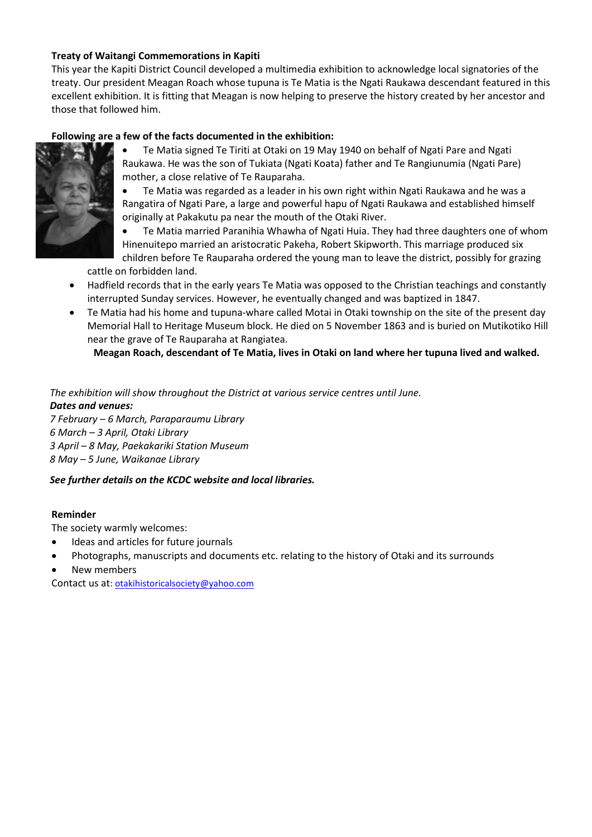# **Treaty of Waitangi Commemorations in Kapiti**

This year the Kapiti District Council developed a multimedia exhibition to acknowledge local signatories of the treaty. Our president Meagan Roach whose tupuna is Te Matia is the Ngati Raukawa descendant featured in this excellent exhibition. It is fitting that Meagan is now helping to preserve the history created by her ancestor and those that followed him.

# **Following are a few of the facts documented in the exhibition:**



• Te Matia signed Te Tiriti at Otaki on 19 May 1940 on behalf of Ngati Pare and Ngati Raukawa. He was the son of Tukiata (Ngati Koata) father and Te Rangiunumia (Ngati Pare) mother, a close relative of Te Rauparaha.

• Te Matia was regarded as a leader in his own right within Ngati Raukawa and he was a Rangatira of Ngati Pare, a large and powerful hapu of Ngati Raukawa and established himself originally at Pakakutu pa near the mouth of the Otaki River.

• Te Matia married Paranihia Whawha of Ngati Huia. They had three daughters one of whom Hinenuitepo married an aristocratic Pakeha, Robert Skipworth. This marriage produced six children before Te Rauparaha ordered the young man to leave the district, possibly for grazing

cattle on forbidden land.

- Hadfield records that in the early years Te Matia was opposed to the Christian teachings and constantly interrupted Sunday services. However, he eventually changed and was baptized in 1847.
- Te Matia had his home and tupuna-whare called Motai in Otaki township on the site of the present day Memorial Hall to Heritage Museum block. He died on 5 November 1863 and is buried on Mutikotiko Hill near the grave of Te Rauparaha at Rangiatea.

 **Meagan Roach, descendant of Te Matia, lives in Otaki on land where her tupuna lived and walked.**

*The exhibition will show throughout the District at various service centres until June. Dates and venues: 7 February – 6 March, Paraparaumu Library*

*6 March – 3 April, Otaki Library*

*3 April – 8 May, Paekakariki Station Museum*

*8 May – 5 June, Waikanae Library*

## *See further details on the KCDC website and local libraries.*

## **Reminder**

The society warmly welcomes:

- Ideas and articles for future journals
- Photographs, manuscripts and documents etc. relating to the history of Otaki and its surrounds
- New members

Contact us at[: otakihistoricalsociety@yahoo.com](mailto:otakihistoricalsociety@yahoo.com)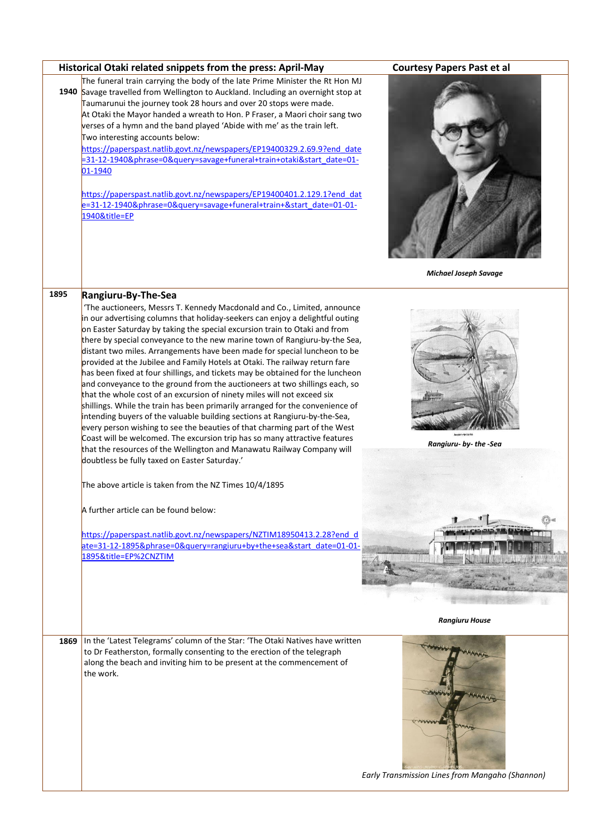| <b>Courtesy Papers Past et al</b>               |
|-------------------------------------------------|
| <b>Michael Joseph Savage</b>                    |
|                                                 |
| Austicra-ba-tic-fa<br>Rangiuru- by- the -Sea    |
|                                                 |
|                                                 |
|                                                 |
| <b>Rangiuru House</b>                           |
|                                                 |
| Early Transmission Lines from Mangaho (Shannon) |
|                                                 |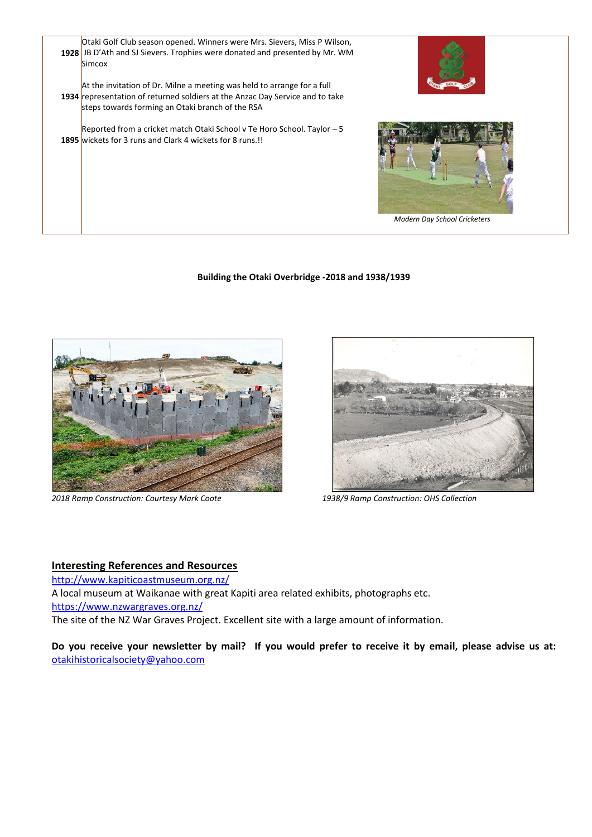

#### **Building the Otaki Overbridge -2018 and 1938/1939**



*2018 Ramp Construction: Courtesy Mark Coote 1938/9 Ramp Construction: OHS Collection*



## **Interesting References and Resources**

<http://www.kapiticoastmuseum.org.nz/>

A local museum at Waikanae with great Kapiti area related exhibits, photographs etc.

<https://www.nzwargraves.org.nz/>

The site of the NZ War Graves Project. Excellent site with a large amount of information.

**Do you receive your newsletter by mail? If you would prefer to receive it by email, please advise us at:**  [otakihistoricalsociety@yahoo.com](mailto:otakihistoricalsociety@yahoo.com)